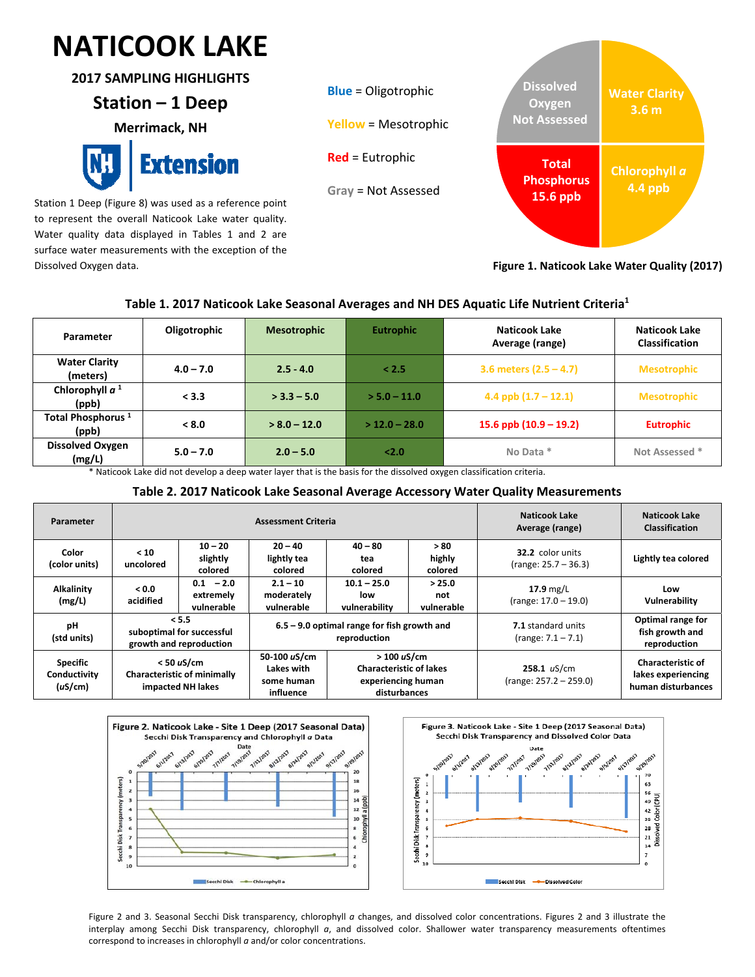# $\ddot{\phantom{0}}$ **NATICOOK LAKE**

**2017 SAMPLING HIGHLIGHTS**

## **Station – 1 Deep**

**Merrimack, NH** 



Station 1 Deep (Figure 8) was used as a reference point to represent the overall Naticook Lake water quality. Water quality data displayed in Tables 1 and 2 are surface water measurements with the exception of the Dissolved Oxygen data.



**Figure 1. Naticook Lake Water Quality (2017)**

### **Table 1. 2017 Naticook Lake Seasonal Averages and NH DES Aquatic Life Nutrient Criteria1**

| Parameter                              | Oligotrophic | <b>Mesotrophic</b> | <b>Eutrophic</b> | <b>Naticook Lake</b><br>Average (range) | Naticook Lake<br><b>Classification</b> |
|----------------------------------------|--------------|--------------------|------------------|-----------------------------------------|----------------------------------------|
| <b>Water Clarity</b><br>(meters)       | $4.0 - 7.0$  | $2.5 - 4.0$        | < 2.5            | 3.6 meters $(2.5 - 4.7)$                | <b>Mesotrophic</b>                     |
| Chlorophyll $a1$<br>(ppb)              | < 3.3        | $>$ 3.3 – 5.0      | $>$ 5.0 – 11.0   | 4.4 ppb $(1.7 - 12.1)$                  | <b>Mesotrophic</b>                     |
| Total Phosphorus <sup>1</sup><br>(ppb) | < 8.0        | $> 8.0 - 12.0$     | $>$ 12.0 – 28.0  | 15.6 ppb $(10.9 - 19.2)$                | <b>Eutrophic</b>                       |
| <b>Dissolved Oxygen</b><br>(mg/L)      | $5.0 - 7.0$  | $2.0 - 5.0$        | <2.0             | No Data *                               | Not Assessed *                         |

\* Naticook Lake did not develop a deep water layer that is the basis for the dissolved oxygen classification criteria.

#### **Table 2. 2017 Naticook Lake Seasonal Average Accessory Water Quality Measurements**

| Parameter                                  |                                                                         |                                        | <b>Assessment Criteria</b>                                    | Naticook Lake<br>Average (range)                                                    | Naticook Lake<br><b>Classification</b> |                                                 |                                                                      |
|--------------------------------------------|-------------------------------------------------------------------------|----------------------------------------|---------------------------------------------------------------|-------------------------------------------------------------------------------------|----------------------------------------|-------------------------------------------------|----------------------------------------------------------------------|
| Color<br>(color units)                     | < 10<br>uncolored                                                       | $10 - 20$<br>slightly<br>colored       | $20 - 40$<br>lightly tea<br>colored                           | $40 - 80$<br>tea<br>colored                                                         | >80<br>highly<br>colored               | 32.2 color units<br>$(range: 25.7 - 36.3)$      | Lightly tea colored                                                  |
| <b>Alkalinity</b><br>(mg/L)                | 0.0 <sub>0</sub><br>acidified                                           | $0.1 - 2.0$<br>extremely<br>vulnerable | $2.1 - 10$<br>moderately<br>vulnerable                        | $10.1 - 25.0$<br>low<br>vulnerability                                               | > 25.0<br>not<br>vulnerable            | $17.9$ mg/L<br>(range: 17.0 – 19.0)             | Low<br>Vulnerability                                                 |
| рH<br>(std units)                          | < 5.5<br>suboptimal for successful<br>growth and reproduction           |                                        | $6.5 - 9.0$ optimal range for fish growth and<br>reproduction |                                                                                     |                                        | <b>7.1</b> standard units<br>(range: 7.1 – 7.1) | Optimal range for<br>fish growth and<br>reproduction                 |
| <b>Specific</b><br>Conductivity<br>(uS/cm) | $<$ 50 uS/cm<br><b>Characteristic of minimally</b><br>impacted NH lakes |                                        | 50-100 uS/cm<br>Lakes with<br>some human<br>influence         | > 100 uS/cm<br><b>Characteristic of lakes</b><br>experiencing human<br>disturbances |                                        | $258.1$ uS/cm<br>$(range: 257.2 - 259.0)$       | <b>Characteristic of</b><br>lakes experiencing<br>human disturbances |



Figure 2 and 3. Seasonal Secchi Disk transparency, chlorophyll *a* changes, and dissolved color concentrations. Figures 2 and 3 illustrate the interplay among Secchi Disk transparency, chlorophyll *a*, and dissolved color. Shallower water transparency measurements oftentimes correspond to increases in chlorophyll *a* and/or color concentrations.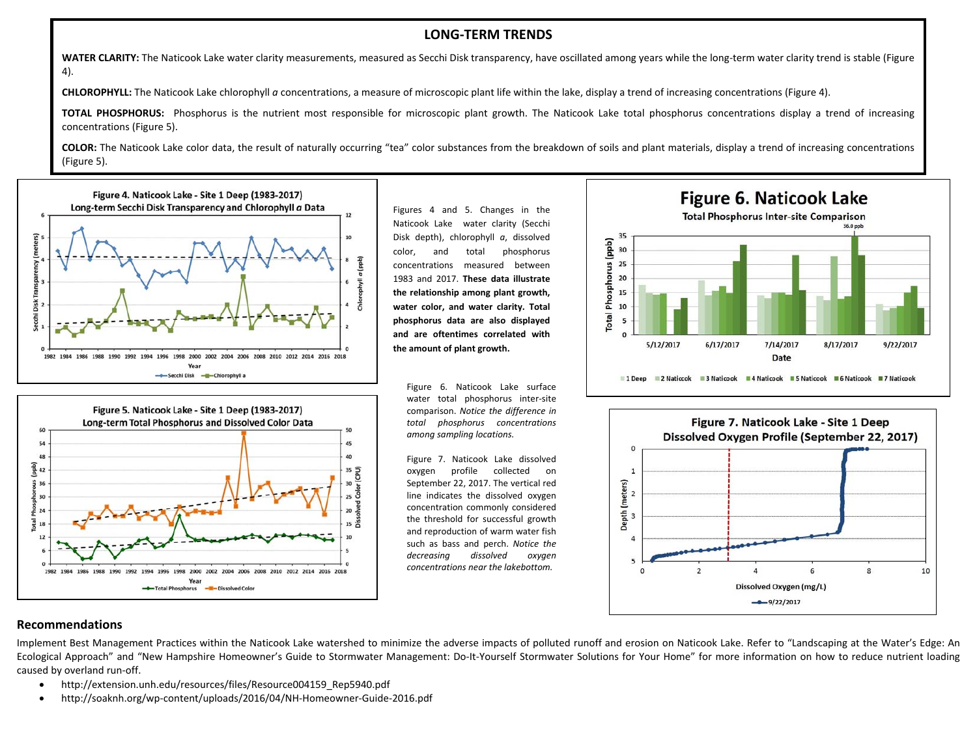#### **LONG‐TERM TRENDS**

**WATER CLARITY:** The Naticook Lake water clarity measurements, measured as Secchi Disk transparency, have oscillated among years while the long‐term water clarity trend is stable (Figure 4).

**CHLOROPHYLL:** The Naticook Lake chlorophyll *<sup>a</sup>* concentrations, <sup>a</sup> measure of microscopic plant life within the lake, display <sup>a</sup> trend of increasing concentrations (Figure 4).

**TOTAL PHOSPHORUS:** Phosphorus is the nutrient most responsible for microscopic plant growth. The Naticook Lake total phosphorus concentrations display <sup>a</sup> trend of increasing concentrations (Figure 5).

**COLOR:** The Naticook Lake color data, the result of naturally occurring "tea" color substances from the breakdown of soils and plant materials, display <sup>a</sup> trend of increasing concentrations (Figure 5).



Figure 5. Naticook Lake - Site 1 Deep (1983-2017) Long-term Total Phosphorus and Dissolved Color Data

Year

Total Phosphorus

Figures 4 and 5. Changes in the Naticook Lake water clarity (Secchi Disk depth), chlorophyll *<sup>a</sup>*, dissolved color, and total phosphorus concentrations measured between 1983 and 2017. **These data illustrate the relationship among plant growth, water color, and water clarity. Total phosphorus data are also displayed and are oftentimes correlated withthe amount of plant growth.**

Figure 6. Naticook Lake surface water total phosphorus inter‐site comparison. *Notice the difference in total phosphorus concentrations among sampling locations.*

50

45

40

35

30

15

10

Figure 7. Naticook Lake dissolved oxygen profile collected on September 22, 2017. The vertical red line indicates the dissolved oxygen concentration commonly considered the threshold for successful growth and reproduction of warm water fish such as bass and perch. *Notice the decreasing dissolved oxygen concentrations near the lakebottom.*





#### **Recommendations**

1982 1984

60

54

 $48$ 

36

30  $24$ 

 $12$ 

E 18

 $\frac{2}{6}$  42

Implement Best Management Practices within the Naticook Lake watershed to minimize the adverse impacts of polluted runoff and erosion on Naticook Lake. Refer to "Landscaping at the Water's Edge: An Ecological Approach" and "New Hampshire Homeowner's Guide to Stormwater Management: Do-It-Yourself Stormwater Solutions for Your Home" for more information on how to reduce nutrient loading caused by overland run‐off.

- $\bullet$ http://extension.unh.edu/resources/files/Resource004159\_Rep5940.pdf
- $\bullet$ http://soaknh.org/wp‐content/uploads/2016/04/NH‐Homeowner‐Guide‐2016.pdf

1996 1998 2000 2002 2004 2006 2008 2010 2012 2014 2016 2018

-Dissolved Colo